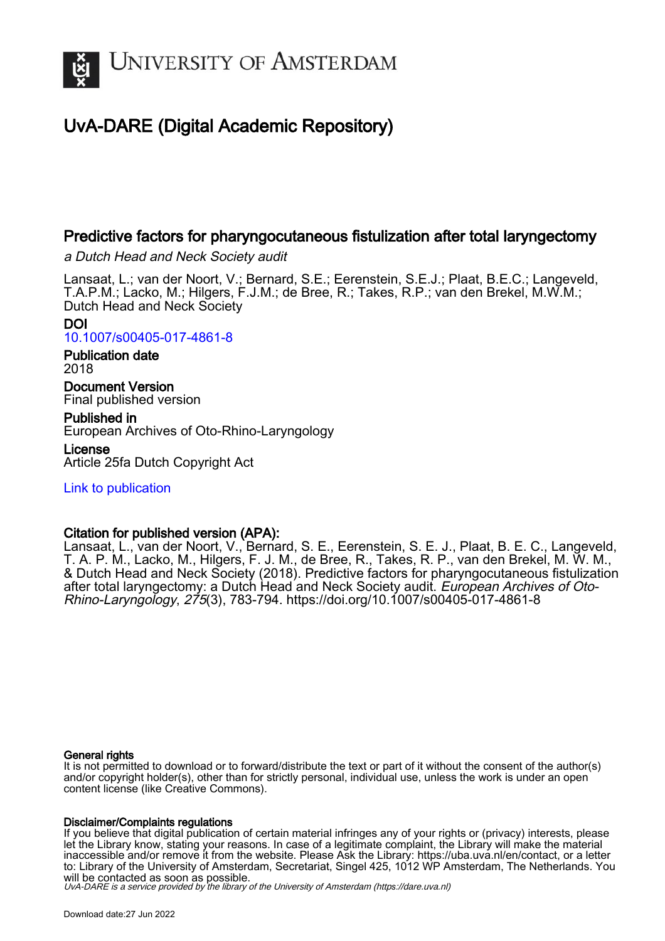

# UvA-DARE (Digital Academic Repository)

## Predictive factors for pharyngocutaneous fistulization after total laryngectomy

a Dutch Head and Neck Society audit

Lansaat, L.; van der Noort, V.; Bernard, S.E.; Eerenstein, S.E.J.; Plaat, B.E.C.; Langeveld, T.A.P.M.; Lacko, M.; Hilgers, F.J.M.; de Bree, R.; Takes, R.P.; van den Brekel, M.W.M.; Dutch Head and Neck Society

#### DOI [10.1007/s00405-017-4861-8](https://doi.org/10.1007/s00405-017-4861-8)

Publication date 2018

Document Version Final published version

Published in European Archives of Oto-Rhino-Laryngology License

Article 25fa Dutch Copyright Act

[Link to publication](https://dare.uva.nl/personal/pure/en/publications/predictive-factors-for-pharyngocutaneous-fistulization-after-total-laryngectomy(70bb22ba-f99b-4b15-a037-5c35c79a0448).html)

## Citation for published version (APA):

Lansaat, L., van der Noort, V., Bernard, S. E., Eerenstein, S. E. J., Plaat, B. E. C., Langeveld, T. A. P. M., Lacko, M., Hilgers, F. J. M., de Bree, R., Takes, R. P., van den Brekel, M. W. M., & Dutch Head and Neck Society (2018). Predictive factors for pharyngocutaneous fistulization after total laryngectomy: a Dutch Head and Neck Society audit. European Archives of Oto-Rhino-Laryngology, 275(3), 783-794.<https://doi.org/10.1007/s00405-017-4861-8>

## General rights

It is not permitted to download or to forward/distribute the text or part of it without the consent of the author(s) and/or copyright holder(s), other than for strictly personal, individual use, unless the work is under an open content license (like Creative Commons).

## Disclaimer/Complaints regulations

If you believe that digital publication of certain material infringes any of your rights or (privacy) interests, please let the Library know, stating your reasons. In case of a legitimate complaint, the Library will make the material inaccessible and/or remove it from the website. Please Ask the Library: https://uba.uva.nl/en/contact, or a letter to: Library of the University of Amsterdam, Secretariat, Singel 425, 1012 WP Amsterdam, The Netherlands. You will be contacted as soon as possible.

UvA-DARE is a service provided by the library of the University of Amsterdam (http*s*://dare.uva.nl)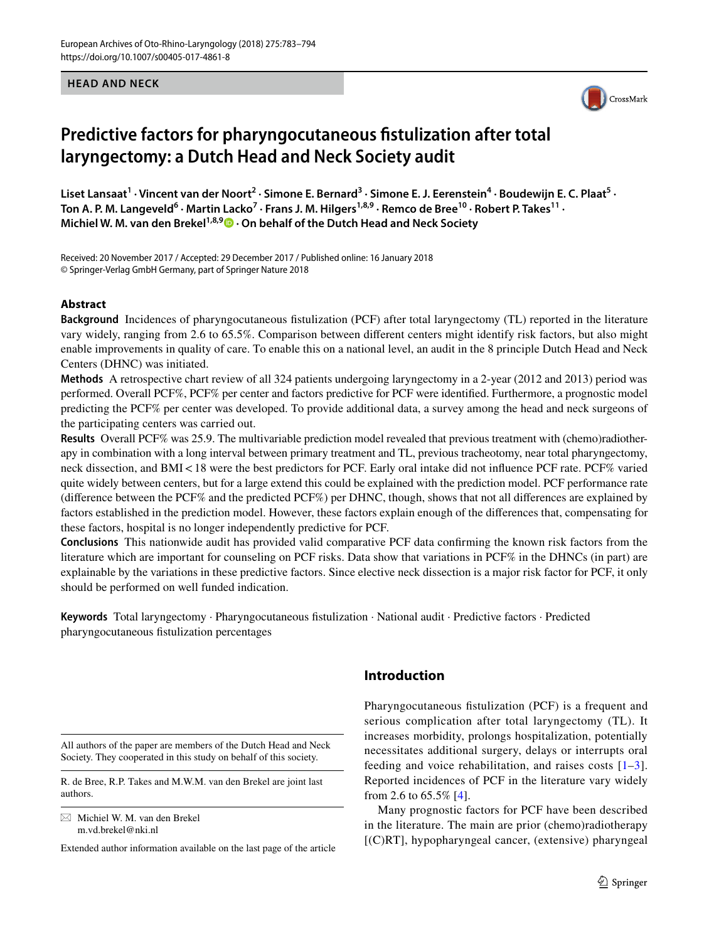#### **HEAD AND NECK**



## **Predictive factors for pharyngocutaneous fistulization after total laryngectomy: a Dutch Head and Neck Society audit**

**Liset Lansaat<sup>1</sup> · Vincent van der Noort<sup>2</sup> · Simone E. Bernard<sup>3</sup> · Simone E. J. Eerenstein4 · Boudewijn E. C. Plaat<sup>5</sup> ·**  Ton A. P. M. Langeveld<sup>6</sup> · Martin Lacko<sup>7</sup> · Frans J. M. Hilgers<sup>1,8,9</sup> · Remco de Bree<sup>10</sup> · Robert P. Takes<sup>11</sup> · **Michiel W. M. van den Brekel1,8,[9](http://orcid.org/0000-0003-1212-6092) · On behalf of the Dutch Head and Neck Society**

Received: 20 November 2017 / Accepted: 29 December 2017 / Published online: 16 January 2018 © Springer-Verlag GmbH Germany, part of Springer Nature 2018

#### **Abstract**

**Background** Incidences of pharyngocutaneous fistulization (PCF) after total laryngectomy (TL) reported in the literature vary widely, ranging from 2.6 to 65.5%. Comparison between different centers might identify risk factors, but also might enable improvements in quality of care. To enable this on a national level, an audit in the 8 principle Dutch Head and Neck Centers (DHNC) was initiated.

**Methods** A retrospective chart review of all 324 patients undergoing laryngectomy in a 2-year (2012 and 2013) period was performed. Overall PCF%, PCF% per center and factors predictive for PCF were identified. Furthermore, a prognostic model predicting the PCF% per center was developed. To provide additional data, a survey among the head and neck surgeons of the participating centers was carried out.

**Results** Overall PCF% was 25.9. The multivariable prediction model revealed that previous treatment with (chemo)radiotherapy in combination with a long interval between primary treatment and TL, previous tracheotomy, near total pharyngectomy, neck dissection, and BMI<18 were the best predictors for PCF. Early oral intake did not influence PCF rate. PCF% varied quite widely between centers, but for a large extend this could be explained with the prediction model. PCF performance rate (difference between the PCF% and the predicted PCF%) per DHNC, though, shows that not all differences are explained by factors established in the prediction model. However, these factors explain enough of the differences that, compensating for these factors, hospital is no longer independently predictive for PCF.

**Conclusions** This nationwide audit has provided valid comparative PCF data confirming the known risk factors from the literature which are important for counseling on PCF risks. Data show that variations in PCF% in the DHNCs (in part) are explainable by the variations in these predictive factors. Since elective neck dissection is a major risk factor for PCF, it only should be performed on well funded indication.

**Keywords** Total laryngectomy · Pharyngocutaneous fistulization · National audit · Predictive factors · Predicted pharyngocutaneous fistulization percentages

All authors of the paper are members of the Dutch Head and Neck Society. They cooperated in this study on behalf of this society.

R. de Bree, R.P. Takes and M.W.M. van den Brekel are joint last authors.

 $\boxtimes$  Michiel W. M. van den Brekel m.vd.brekel@nki.nl

Extended author information available on the last page of the article

### **Introduction**

Pharyngocutaneous fistulization (PCF) is a frequent and serious complication after total laryngectomy (TL). It increases morbidity, prolongs hospitalization, potentially necessitates additional surgery, delays or interrupts oral feeding and voice rehabilitation, and raises costs  $[1-3]$  $[1-3]$  $[1-3]$ . Reported incidences of PCF in the literature vary widely from 2.6 to 65.5% [[4\]](#page-11-2).

Many prognostic factors for PCF have been described in the literature. The main are prior (chemo)radiotherapy [(C)RT], hypopharyngeal cancer, (extensive) pharyngeal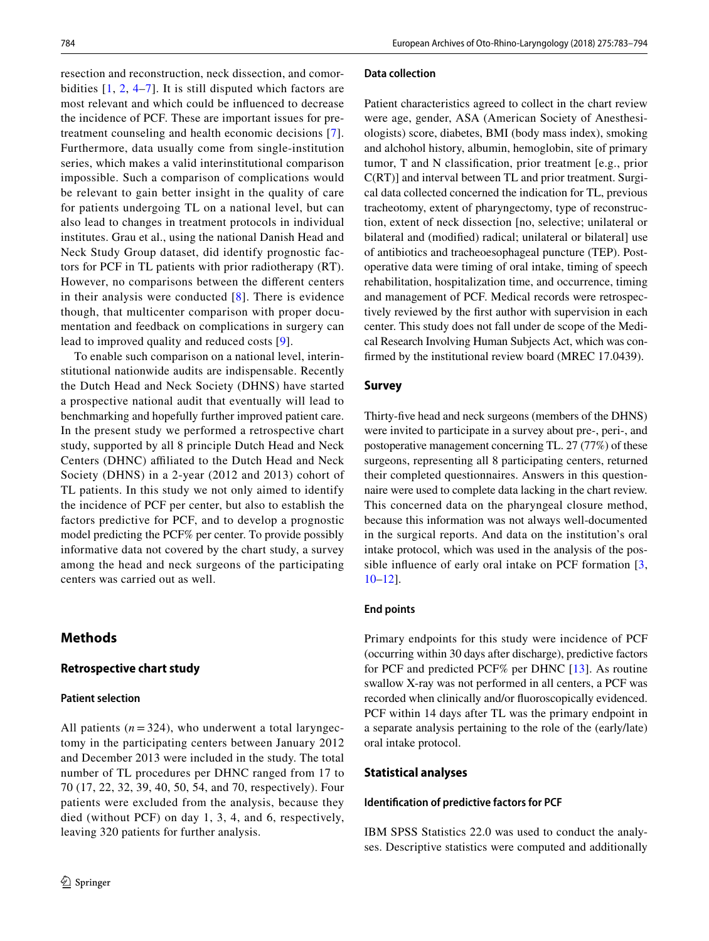resection and reconstruction, neck dissection, and comorbidities  $[1, 2, 4-7]$  $[1, 2, 4-7]$  $[1, 2, 4-7]$  $[1, 2, 4-7]$  $[1, 2, 4-7]$ . It is still disputed which factors are most relevant and which could be influenced to decrease the incidence of PCF. These are important issues for pretreatment counseling and health economic decisions [[7](#page-11-4)]. Furthermore, data usually come from single-institution series, which makes a valid interinstitutional comparison impossible. Such a comparison of complications would be relevant to gain better insight in the quality of care for patients undergoing TL on a national level, but can also lead to changes in treatment protocols in individual institutes. Grau et al., using the national Danish Head and Neck Study Group dataset, did identify prognostic factors for PCF in TL patients with prior radiotherapy (RT). However, no comparisons between the different centers in their analysis were conducted [[8](#page-11-5)]. There is evidence though, that multicenter comparison with proper documentation and feedback on complications in surgery can lead to improved quality and reduced costs [\[9](#page-12-0)].

To enable such comparison on a national level, interinstitutional nationwide audits are indispensable. Recently the Dutch Head and Neck Society (DHNS) have started a prospective national audit that eventually will lead to benchmarking and hopefully further improved patient care. In the present study we performed a retrospective chart study, supported by all 8 principle Dutch Head and Neck Centers (DHNC) affiliated to the Dutch Head and Neck Society (DHNS) in a 2-year (2012 and 2013) cohort of TL patients. In this study we not only aimed to identify the incidence of PCF per center, but also to establish the factors predictive for PCF, and to develop a prognostic model predicting the PCF% per center. To provide possibly informative data not covered by the chart study, a survey among the head and neck surgeons of the participating centers was carried out as well.

## **Methods**

#### **Retrospective chart study**

#### **Patient selection**

All patients  $(n = 324)$ , who underwent a total laryngectomy in the participating centers between January 2012 and December 2013 were included in the study. The total number of TL procedures per DHNC ranged from 17 to 70 (17, 22, 32, 39, 40, 50, 54, and 70, respectively). Four patients were excluded from the analysis, because they died (without PCF) on day 1, 3, 4, and 6, respectively, leaving 320 patients for further analysis.

#### **Data collection**

Patient characteristics agreed to collect in the chart review were age, gender, ASA (American Society of Anesthesiologists) score, diabetes, BMI (body mass index), smoking and alchohol history, albumin, hemoglobin, site of primary tumor, T and N classification, prior treatment [e.g., prior C(RT)] and interval between TL and prior treatment. Surgical data collected concerned the indication for TL, previous tracheotomy, extent of pharyngectomy, type of reconstruction, extent of neck dissection [no, selective; unilateral or bilateral and (modified) radical; unilateral or bilateral] use of antibiotics and tracheoesophageal puncture (TEP). Postoperative data were timing of oral intake, timing of speech rehabilitation, hospitalization time, and occurrence, timing and management of PCF. Medical records were retrospectively reviewed by the first author with supervision in each center. This study does not fall under de scope of the Medical Research Involving Human Subjects Act, which was confirmed by the institutional review board (MREC 17.0439).

#### **Survey**

Thirty-five head and neck surgeons (members of the DHNS) were invited to participate in a survey about pre-, peri-, and postoperative management concerning TL. 27 (77%) of these surgeons, representing all 8 participating centers, returned their completed questionnaires. Answers in this questionnaire were used to complete data lacking in the chart review. This concerned data on the pharyngeal closure method, because this information was not always well-documented in the surgical reports. And data on the institution's oral intake protocol, which was used in the analysis of the possible influence of early oral intake on PCF formation [[3,](#page-11-1) [10](#page-12-1)[–12](#page-12-2)].

#### **End points**

Primary endpoints for this study were incidence of PCF (occurring within 30 days after discharge), predictive factors for PCF and predicted PCF% per DHNC [\[13\]](#page-12-3). As routine swallow X-ray was not performed in all centers, a PCF was recorded when clinically and/or fluoroscopically evidenced. PCF within 14 days after TL was the primary endpoint in a separate analysis pertaining to the role of the (early/late) oral intake protocol.

#### **Statistical analyses**

#### **Identification of predictive factors for PCF**

IBM SPSS Statistics 22.0 was used to conduct the analyses. Descriptive statistics were computed and additionally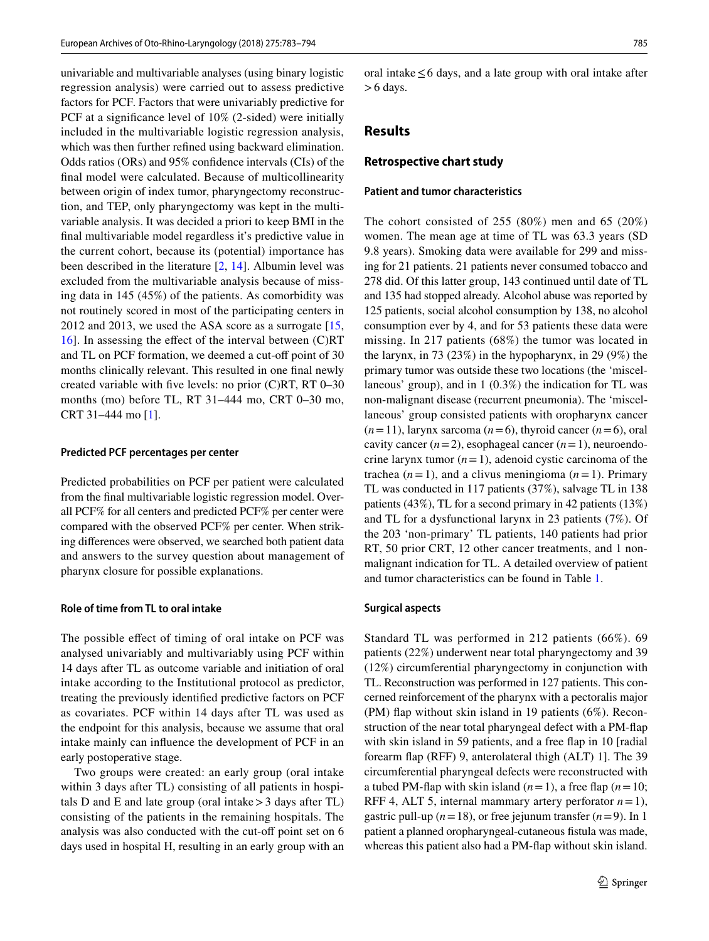univariable and multivariable analyses (using binary logistic regression analysis) were carried out to assess predictive factors for PCF. Factors that were univariably predictive for PCF at a significance level of 10% (2-sided) were initially included in the multivariable logistic regression analysis, which was then further refined using backward elimination. Odds ratios (ORs) and 95% confidence intervals (CIs) of the final model were calculated. Because of multicollinearity between origin of index tumor, pharyngectomy reconstruction, and TEP, only pharyngectomy was kept in the multivariable analysis. It was decided a priori to keep BMI in the final multivariable model regardless it's predictive value in the current cohort, because its (potential) importance has been described in the literature [[2,](#page-11-3) [14](#page-12-4)]. Albumin level was excluded from the multivariable analysis because of missing data in 145 (45%) of the patients. As comorbidity was not routinely scored in most of the participating centers in 2012 and 2013, we used the ASA score as a surrogate [[15,](#page-12-5) [16](#page-12-6)]. In assessing the effect of the interval between (C)RT and TL on PCF formation, we deemed a cut-off point of 30 months clinically relevant. This resulted in one final newly created variable with five levels: no prior (C)RT, RT 0–30 months (mo) before TL, RT 31–444 mo, CRT 0–30 mo, CRT 31–444 mo [\[1](#page-11-0)].

#### **Predicted PCF percentages per center**

Predicted probabilities on PCF per patient were calculated from the final multivariable logistic regression model. Overall PCF% for all centers and predicted PCF% per center were compared with the observed PCF% per center. When striking differences were observed, we searched both patient data and answers to the survey question about management of pharynx closure for possible explanations.

#### **Role of time from TL to oral intake**

The possible effect of timing of oral intake on PCF was analysed univariably and multivariably using PCF within 14 days after TL as outcome variable and initiation of oral intake according to the Institutional protocol as predictor, treating the previously identified predictive factors on PCF as covariates. PCF within 14 days after TL was used as the endpoint for this analysis, because we assume that oral intake mainly can influence the development of PCF in an early postoperative stage.

Two groups were created: an early group (oral intake within 3 days after TL) consisting of all patients in hospitals D and E and late group (oral intake  $>$  3 days after TL) consisting of the patients in the remaining hospitals. The analysis was also conducted with the cut-off point set on 6 days used in hospital H, resulting in an early group with an oral intake  $\leq 6$  days, and a late group with oral intake after  $>6$  days.

### **Results**

#### **Retrospective chart study**

#### **Patient and tumor characteristics**

The cohort consisted of 255 (80%) men and 65 (20%) women. The mean age at time of TL was 63.3 years (SD 9.8 years). Smoking data were available for 299 and missing for 21 patients. 21 patients never consumed tobacco and 278 did. Of this latter group, 143 continued until date of TL and 135 had stopped already. Alcohol abuse was reported by 125 patients, social alcohol consumption by 138, no alcohol consumption ever by 4, and for 53 patients these data were missing. In 217 patients (68%) the tumor was located in the larynx, in 73 (23%) in the hypopharynx, in 29 (9%) the primary tumor was outside these two locations (the 'miscellaneous' group), and in 1 (0.3%) the indication for TL was non-malignant disease (recurrent pneumonia). The 'miscellaneous' group consisted patients with oropharynx cancer  $(n=11)$ , larynx sarcoma  $(n=6)$ , thyroid cancer  $(n=6)$ , oral cavity cancer  $(n=2)$ , esophageal cancer  $(n=1)$ , neuroendocrine larynx tumor  $(n=1)$ , adenoid cystic carcinoma of the trachea  $(n=1)$ , and a clivus meningioma  $(n=1)$ . Primary TL was conducted in 117 patients (37%), salvage TL in 138 patients (43%), TL for a second primary in 42 patients (13%) and TL for a dysfunctional larynx in 23 patients (7%). Of the 203 'non-primary' TL patients, 140 patients had prior RT, 50 prior CRT, 12 other cancer treatments, and 1 nonmalignant indication for TL. A detailed overview of patient and tumor characteristics can be found in Table [1.](#page-4-0)

#### **Surgical aspects**

Standard TL was performed in 212 patients (66%). 69 patients (22%) underwent near total pharyngectomy and 39 (12%) circumferential pharyngectomy in conjunction with TL. Reconstruction was performed in 127 patients. This concerned reinforcement of the pharynx with a pectoralis major (PM) flap without skin island in 19 patients (6%). Reconstruction of the near total pharyngeal defect with a PM-flap with skin island in 59 patients, and a free flap in 10 [radial] forearm flap (RFF) 9, anterolateral thigh (ALT) 1]. The 39 circumferential pharyngeal defects were reconstructed with a tubed PM-flap with skin island  $(n=1)$ , a free flap  $(n=10)$ ; RFF 4, ALT 5, internal mammary artery perforator *n*=1), gastric pull-up ( $n=18$ ), or free jejunum transfer ( $n=9$ ). In 1 patient a planned oropharyngeal-cutaneous fistula was made, whereas this patient also had a PM-flap without skin island.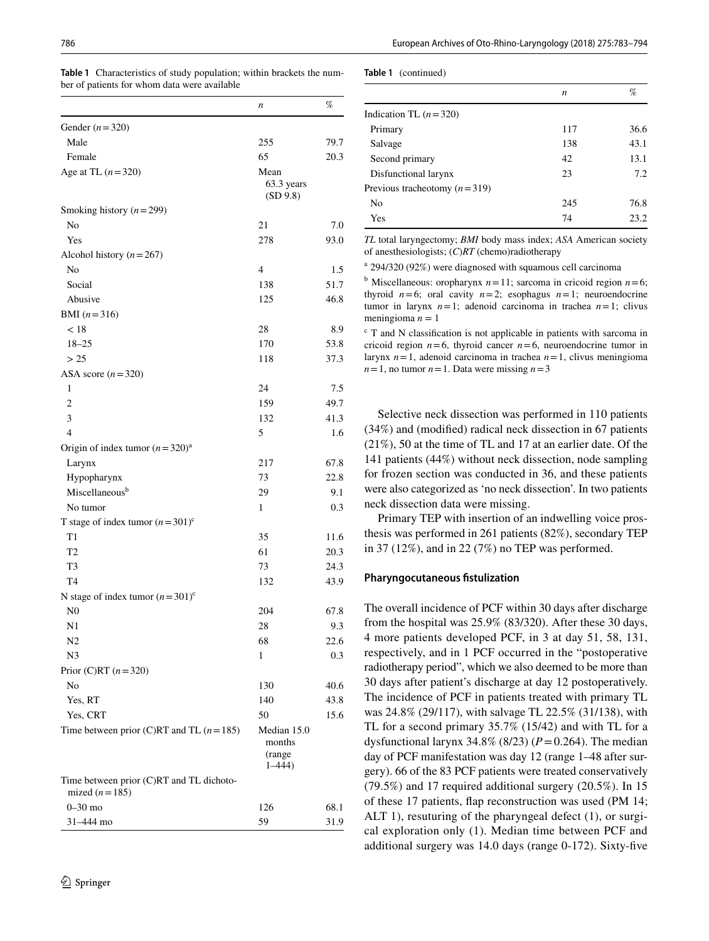<span id="page-4-0"></span>

|                                                             | n                               | %    |
|-------------------------------------------------------------|---------------------------------|------|
| Gender $(n=320)$                                            |                                 |      |
| Male                                                        | 255                             | 79.7 |
| Female                                                      | 65                              | 20.3 |
| Age at TL $(n=320)$                                         | Mean<br>63.3 years<br>(SD 9.8)  |      |
| Smoking history ( $n = 299$ )                               |                                 |      |
| No                                                          | 21                              | 7.0  |
| Yes                                                         | 278                             | 93.0 |
| Alcohol history $(n=267)$                                   |                                 |      |
| No                                                          | $\overline{4}$                  | 1.5  |
| Social                                                      | 138                             | 51.7 |
| Abusive                                                     | 125                             | 46.8 |
| BMI $(n=316)$                                               |                                 |      |
| < 18                                                        | 28                              | 8.9  |
| $18 - 25$                                                   | 170                             | 53.8 |
| > 25                                                        | 118                             | 37.3 |
| ASA score $(n=320)$                                         |                                 |      |
| 1                                                           | 24                              | 7.5  |
| $\overline{2}$                                              | 159                             | 49.7 |
| 3                                                           | 132                             | 41.3 |
| $\overline{4}$                                              | 5                               | 1.6  |
| Origin of index tumor $(n=320)^{a}$                         |                                 |      |
| Larynx                                                      | 217                             | 67.8 |
| Hypopharynx                                                 | 73                              | 22.8 |
| Miscellaneous <sup>b</sup>                                  | 29                              | 9.1  |
| No tumor                                                    | 1                               | 0.3  |
| T stage of index tumor $(n=301)^c$                          |                                 |      |
| T1                                                          | 35                              | 11.6 |
| T2                                                          | 61                              | 20.3 |
| T3                                                          | 73                              | 24.3 |
| T <sub>4</sub>                                              | 132                             | 43.9 |
| N stage of index tumor $(n=301)^c$                          |                                 |      |
| $_{\rm N0}$                                                 | 204                             | 67.8 |
| N <sub>1</sub>                                              | 28                              | 9.3  |
| N2                                                          | 68                              | 22.6 |
| N <sub>3</sub>                                              | 1                               | 0.3  |
| Prior (C)RT $(n=320)$                                       |                                 |      |
| No                                                          | 130                             | 40.6 |
| Yes, RT                                                     | 140                             | 43.8 |
| Yes, CRT                                                    | 50                              | 15.6 |
| Time between prior (C)RT and TL $(n=185)$                   | Median 15.0<br>months<br>(range |      |
| Time between prior (C)RT and TL dichoto-<br>mized $(n=185)$ | $1 - 444$                       |      |
| $0 - 30$ mo                                                 | 126                             | 68.1 |
| 31-444 mo                                                   | 59                              | 31.9 |

**Table 1** (continued)

|                                | n   | %    |
|--------------------------------|-----|------|
| Indication TL $(n=320)$        |     |      |
| Primary                        | 117 | 36.6 |
| Salvage                        | 138 | 43.1 |
| Second primary                 | 42  | 13.1 |
| Disfunctional larynx           | 23  | 7.2  |
| Previous tracheotomy $(n=319)$ |     |      |
| No                             | 245 | 76.8 |
| Yes                            | 74  | 23.2 |

*TL* total laryngectomy; *BMI* body mass index; *ASA* American society of anesthesiologists; (*C*)*RT* (chemo)radiotherapy

a 294/320 (92%) were diagnosed with squamous cell carcinoma

<sup>b</sup> Miscellaneous: oropharynx  $n = 11$ ; sarcoma in cricoid region  $n = 6$ ; thyroid  $n=6$ ; oral cavity  $n=2$ ; esophagus  $n=1$ ; neuroendocrine tumor in larynx *n*=1; adenoid carcinoma in trachea *n*=1; clivus meningioma  $n = 1$ 

c T and N classification is not applicable in patients with sarcoma in cricoid region  $n=6$ , thyroid cancer  $n=6$ , neuroendocrine tumor in larynx  $n=1$ , adenoid carcinoma in trachea  $n=1$ , clivus meningioma  $n=1$ , no tumor  $n=1$ . Data were missing  $n=3$ 

Selective neck dissection was performed in 110 patients (34%) and (modified) radical neck dissection in 67 patients (21%), 50 at the time of TL and 17 at an earlier date. Of the 141 patients (44%) without neck dissection, node sampling for frozen section was conducted in 36, and these patients were also categorized as 'no neck dissection'. In two patients neck dissection data were missing.

Primary TEP with insertion of an indwelling voice prosthesis was performed in 261 patients (82%), secondary TEP in 37 (12%), and in 22 (7%) no TEP was performed.

#### **Pharyngocutaneous fistulization**

The overall incidence of PCF within 30 days after discharge from the hospital was 25.9% (83/320). After these 30 days, 4 more patients developed PCF, in 3 at day 51, 58, 131, respectively, and in 1 PCF occurred in the "postoperative radiotherapy period", which we also deemed to be more than 30 days after patient's discharge at day 12 postoperatively. The incidence of PCF in patients treated with primary TL was 24.8% (29/117), with salvage TL 22.5% (31/138), with TL for a second primary 35.7% (15/42) and with TL for a dysfunctional larynx 34.8% (8/23) (*P*=0.264). The median day of PCF manifestation was day 12 (range 1–48 after surgery). 66 of the 83 PCF patients were treated conservatively (79.5%) and 17 required additional surgery (20.5%). In 15 of these 17 patients, flap reconstruction was used (PM 14; ALT 1), resuturing of the pharyngeal defect (1), or surgical exploration only (1). Median time between PCF and additional surgery was 14.0 days (range 0-172). Sixty-five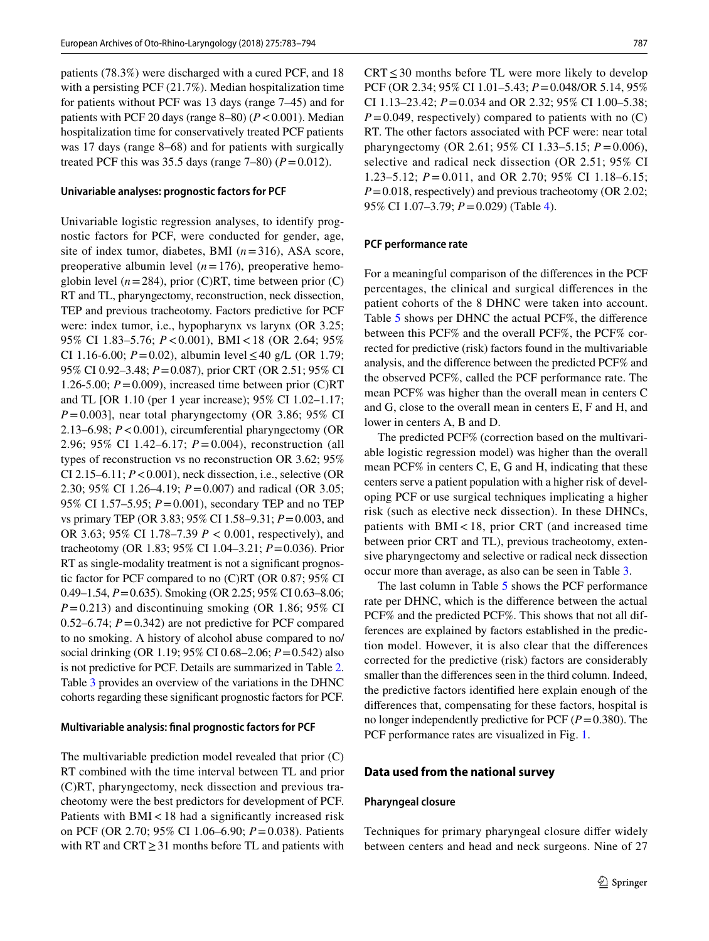patients (78.3%) were discharged with a cured PCF, and 18 with a persisting PCF (21.7%). Median hospitalization time for patients without PCF was 13 days (range 7–45) and for patients with PCF 20 days (range  $8-80$ ) ( $P < 0.001$ ). Median hospitalization time for conservatively treated PCF patients was 17 days (range 8–68) and for patients with surgically treated PCF this was 35.5 days (range  $7-80$ ) ( $P = 0.012$ ).

#### **Univariable analyses: prognostic factors for PCF**

Univariable logistic regression analyses, to identify prognostic factors for PCF, were conducted for gender, age, site of index tumor, diabetes, BMI (*n*=316), ASA score, preoperative albumin level  $(n=176)$ , preoperative hemoglobin level  $(n=284)$ , prior  $(C)RT$ , time between prior  $(C)$ RT and TL, pharyngectomy, reconstruction, neck dissection, TEP and previous tracheotomy. Factors predictive for PCF were: index tumor, i.e., hypopharynx vs larynx (OR 3.25; 95% CI 1.83–5.76; *P*<0.001), BMI<18 (OR 2.64; 95% CI 1.16-6.00;  $P = 0.02$ ), albumin level  $\leq 40$  g/L (OR 1.79; 95% CI 0.92–3.48; *P*=0.087), prior CRT (OR 2.51; 95% CI 1.26-5.00;  $P = 0.009$ ), increased time between prior (C)RT and TL [OR 1.10 (per 1 year increase); 95% CI 1.02–1.17;  $P=0.003$ ], near total pharyngectomy (OR 3.86; 95% CI 2.13–6.98; *P*<0.001), circumferential pharyngectomy (OR 2.96; 95% CI 1.42–6.17; *P*=0.004), reconstruction (all types of reconstruction vs no reconstruction OR 3.62; 95% CI 2.15–6.11; *P*<0.001), neck dissection, i.e., selective (OR 2.30; 95% CI 1.26–4.19; *P*=0.007) and radical (OR 3.05; 95% CI 1.57–5.95; *P*=0.001), secondary TEP and no TEP vs primary TEP (OR 3.83; 95% CI 1.58–9.31; *P*=0.003, and OR 3.63; 95% CI 1.78–7.39 *P* < 0.001, respectively), and tracheotomy (OR 1.83; 95% CI 1.04–3.21; *P*=0.036). Prior RT as single-modality treatment is not a significant prognostic factor for PCF compared to no (C)RT (OR 0.87; 95% CI 0.49–1.54, *P*=0.635). Smoking (OR 2.25; 95% CI 0.63–8.06;  $P=0.213$ ) and discontinuing smoking (OR 1.86; 95% CI 0.52–6.74;  $P = 0.342$ ) are not predictive for PCF compared to no smoking. A history of alcohol abuse compared to no/ social drinking (OR 1.19; 95% CI 0.68–2.06; *P*=0.542) also is not predictive for PCF. Details are summarized in Table [2.](#page-6-0) Table [3](#page-8-0) provides an overview of the variations in the DHNC cohorts regarding these significant prognostic factors for PCF.

#### **Multivariable analysis: final prognostic factors for PCF**

The multivariable prediction model revealed that prior (C) RT combined with the time interval between TL and prior (C)RT, pharyngectomy, neck dissection and previous tracheotomy were the best predictors for development of PCF. Patients with BMI<18 had a significantly increased risk on PCF (OR 2.70; 95% CI 1.06–6.90; *P*=0.038). Patients with RT and  $CRT \geq 31$  months before TL and patients with CRT≤30 months before TL were more likely to develop PCF (OR 2.34; 95% CI 1.01–5.43; *P*=0.048/OR 5.14, 95% CI 1.13–23.42; *P*=0.034 and OR 2.32; 95% CI 1.00–5.38;  $P=0.049$ , respectively) compared to patients with no  $(C)$ RT. The other factors associated with PCF were: near total pharyngectomy (OR 2.61; 95% CI 1.33–5.15; *P*=0.006), selective and radical neck dissection (OR 2.51; 95% CI 1.23–5.12; *P* = 0.011, and OR 2.70; 95% CI 1.18–6.15; *P*=0.018, respectively) and previous tracheotomy (OR 2.02; 95% CI 1.07–3.79; *P*=0.029) (Table [4](#page-10-0)).

#### **PCF performance rate**

For a meaningful comparison of the differences in the PCF percentages, the clinical and surgical differences in the patient cohorts of the 8 DHNC were taken into account. Table [5](#page-10-1) shows per DHNC the actual PCF%, the difference between this PCF% and the overall PCF%, the PCF% corrected for predictive (risk) factors found in the multivariable analysis, and the difference between the predicted PCF% and the observed PCF%, called the PCF performance rate. The mean PCF% was higher than the overall mean in centers C and G, close to the overall mean in centers E, F and H, and lower in centers A, B and D.

The predicted PCF% (correction based on the multivariable logistic regression model) was higher than the overall mean PCF% in centers C, E, G and H, indicating that these centers serve a patient population with a higher risk of developing PCF or use surgical techniques implicating a higher risk (such as elective neck dissection). In these DHNCs, patients with BMI< 18, prior CRT (and increased time between prior CRT and TL), previous tracheotomy, extensive pharyngectomy and selective or radical neck dissection occur more than average, as also can be seen in Table [3.](#page-8-0)

The last column in Table [5](#page-10-1) shows the PCF performance rate per DHNC, which is the difference between the actual PCF% and the predicted PCF%. This shows that not all differences are explained by factors established in the prediction model. However, it is also clear that the differences corrected for the predictive (risk) factors are considerably smaller than the differences seen in the third column. Indeed, the predictive factors identified here explain enough of the differences that, compensating for these factors, hospital is no longer independently predictive for PCF (*P*=0.380). The PCF performance rates are visualized in Fig. [1.](#page-11-6)

#### **Data used from the national survey**

#### **Pharyngeal closure**

Techniques for primary pharyngeal closure differ widely between centers and head and neck surgeons. Nine of 27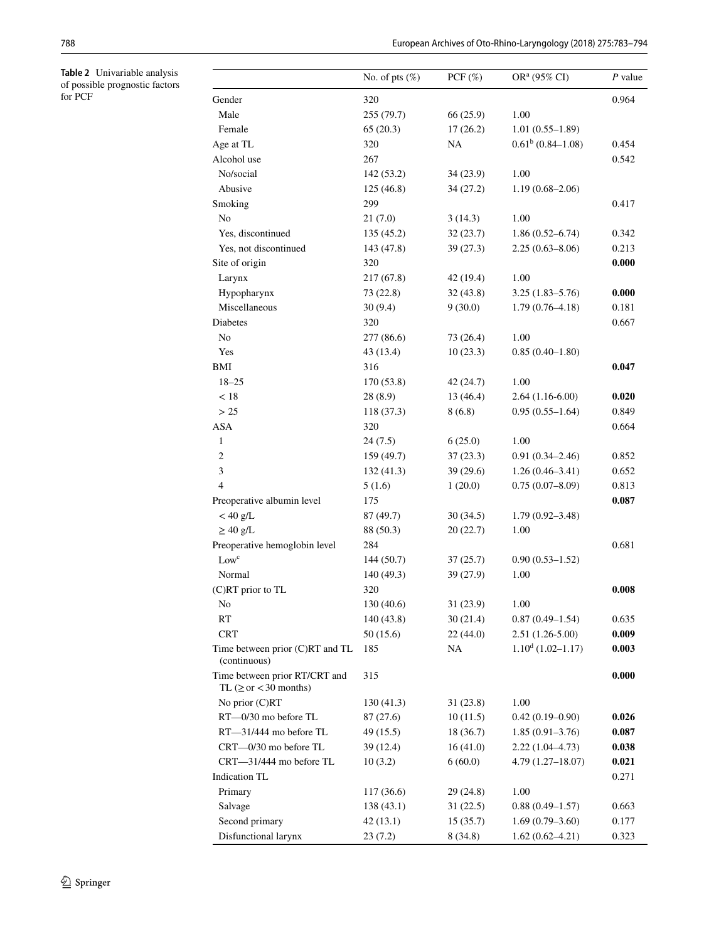<span id="page-6-0"></span>**Table 2** Univariable analysis of possible prognostic factors for PCF

|                                                             | No. of pts $(\%)$ | PCF (%)   | $OR^a (95\% CI)$     | P value |
|-------------------------------------------------------------|-------------------|-----------|----------------------|---------|
| Gender                                                      | 320               |           |                      | 0.964   |
| Male                                                        | 255 (79.7)        | 66 (25.9) | 1.00                 |         |
| Female                                                      | 65(20.3)          | 17(26.2)  | $1.01(0.55-1.89)$    |         |
| Age at TL                                                   | 320               | NA        | $0.61^b$ (0.84-1.08) | 0.454   |
| Alcohol use                                                 | 267               |           |                      | 0.542   |
| No/social                                                   | 142 (53.2)        | 34 (23.9) | 1.00                 |         |
| Abusive                                                     | 125(46.8)         | 34(27.2)  | $1.19(0.68 - 2.06)$  |         |
| Smoking                                                     | 299               |           |                      | 0.417   |
| N <sub>o</sub>                                              | 21(7.0)           | 3(14.3)   | 1.00                 |         |
| Yes, discontinued                                           | 135 (45.2)        | 32(23.7)  | $1.86(0.52 - 6.74)$  | 0.342   |
| Yes, not discontinued                                       | 143 (47.8)        | 39 (27.3) | $2.25(0.63 - 8.06)$  | 0.213   |
| Site of origin                                              | 320               |           |                      | 0.000   |
| Larynx                                                      | 217 (67.8)        | 42(19.4)  | 1.00                 |         |
| Hypopharynx                                                 | 73 (22.8)         | 32(43.8)  | $3.25(1.83 - 5.76)$  | 0.000   |
| Miscellaneous                                               | 30(9.4)           | 9(30.0)   | $1.79(0.76 - 4.18)$  | 0.181   |
| Diabetes                                                    | 320               |           |                      | 0.667   |
| No                                                          | 277 (86.6)        | 73 (26.4) | 1.00                 |         |
| Yes                                                         | 43 (13.4)         | 10(23.3)  | $0.85(0.40-1.80)$    |         |
| BMI                                                         | 316               |           |                      | 0.047   |
| $18 - 25$                                                   | 170(53.8)         | 42 (24.7) | 1.00                 |         |
| < 18                                                        | 28(8.9)           | 13(46.4)  | $2.64(1.16-6.00)$    | 0.020   |
| > 25                                                        | 118 (37.3)        | 8(6.8)    | $0.95(0.55-1.64)$    | 0.849   |
| <b>ASA</b>                                                  | 320               |           |                      | 0.664   |
| 1                                                           | 24(7.5)           | 6(25.0)   | 1.00                 |         |
| $\overline{c}$                                              | 159 (49.7)        | 37(23.3)  | $0.91(0.34 - 2.46)$  | 0.852   |
| 3                                                           | 132(41.3)         | 39 (29.6) | $1.26(0.46-3.41)$    | 0.652   |
| $\overline{4}$                                              | 5(1.6)            | 1(20.0)   | $0.75(0.07 - 8.09)$  | 0.813   |
| Preoperative albumin level                                  | 175               |           |                      | 0.087   |
| $<$ 40 g/L                                                  | 87 (49.7)         | 30 (34.5) | $1.79(0.92 - 3.48)$  |         |
| $\geq$ 40 g/L                                               | 88 (50.3)         | 20(22.7)  | 1.00                 |         |
| Preoperative hemoglobin level                               | 284               |           |                      | 0.681   |
| Low <sup>c</sup>                                            | 144(50.7)         | 37(25.7)  | $0.90(0.53 - 1.52)$  |         |
| Normal                                                      | 140 (49.3)        | 39 (27.9) | 1.00                 |         |
| (C)RT prior to TL                                           | 320               |           |                      | 0.008   |
| N <sub>0</sub>                                              | 130 (40.6)        | 31 (23.9) | 1.00                 |         |
| RT                                                          | 140 (43.8)        | 30(21.4)  | $0.87(0.49 - 1.54)$  | 0.635   |
| <b>CRT</b>                                                  | 50(15.6)          | 22 (44.0) | $2.51(1.26-5.00)$    | 0.009   |
| Time between prior (C)RT and TL<br>(continuous)             | 185               | NA        | $1.10d$ (1.02–1.17)  | 0.003   |
| Time between prior RT/CRT and<br>TL $(\geq or < 30$ months) | 315               |           |                      | 0.000   |
| No prior (C)RT                                              | 130(41.3)         | 31(23.8)  | 1.00                 |         |
| RT-0/30 mo before TL                                        | 87 (27.6)         | 10(11.5)  | $0.42(0.19-0.90)$    | 0.026   |
| RT-31/444 mo before TL                                      | 49 (15.5)         | 18 (36.7) | $1.85(0.91 - 3.76)$  | 0.087   |
| CRT-0/30 mo before TL                                       | 39 (12.4)         | 16(41.0)  | $2.22(1.04-4.73)$    | 0.038   |
| CRT-31/444 mo before TL                                     | 10(3.2)           | 6(60.0)   | $4.79(1.27 - 18.07)$ | 0.021   |
| Indication TL                                               |                   |           |                      | 0.271   |
| Primary                                                     | 117 (36.6)        | 29 (24.8) | 1.00                 |         |
| Salvage                                                     | 138(43.1)         | 31(22.5)  | $0.88(0.49 - 1.57)$  | 0.663   |
| Second primary                                              | 42(13.1)          | 15(35.7)  | $1.69(0.79-3.60)$    | 0.177   |
| Disfunctional larynx                                        | 23(7.2)           | 8(34.8)   | $1.62(0.62 - 4.21)$  | 0.323   |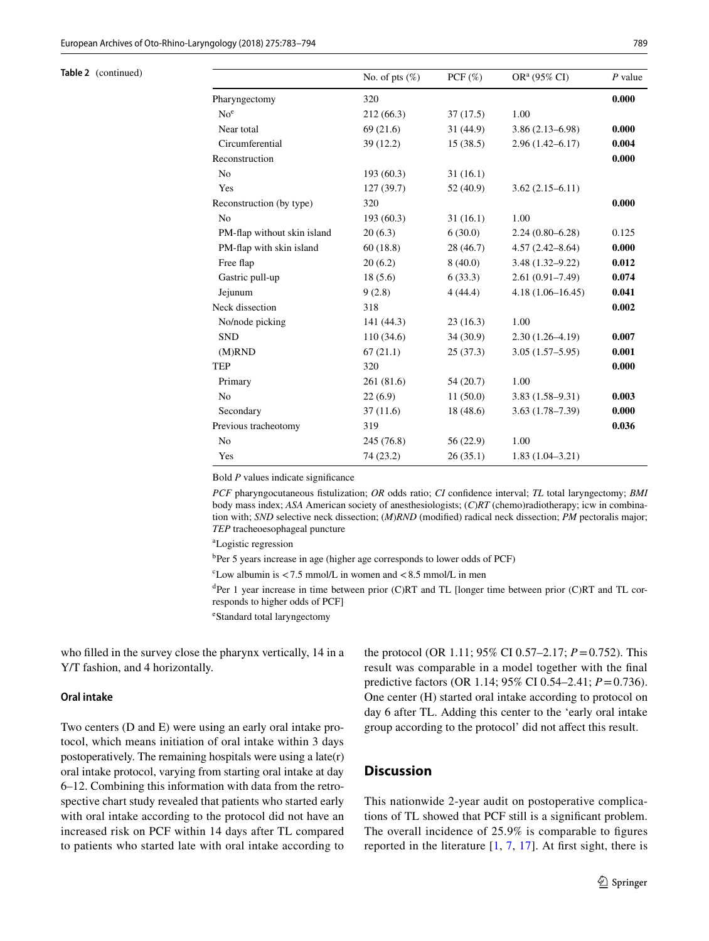| Table 2 (continued) |                             | No. of pts $(\%)$ | $PCF$ (%) | $OR^a (95\% CI)$     | $P$ value |
|---------------------|-----------------------------|-------------------|-----------|----------------------|-----------|
|                     | Pharyngectomy               | 320               |           |                      | 0.000     |
|                     | No <sup>e</sup>             | 212(66.3)         | 37(17.5)  | 1.00                 |           |
|                     | Near total                  | 69(21.6)          | 31(44.9)  | $3.86(2.13 - 6.98)$  | 0.000     |
|                     | Circumferential             | 39(12.2)          | 15(38.5)  | $2.96(1.42 - 6.17)$  | 0.004     |
|                     | Reconstruction              |                   |           |                      | 0.000     |
|                     | N <sub>0</sub>              | 193(60.3)         | 31(16.1)  |                      |           |
|                     | Yes                         | 127(39.7)         | 52(40.9)  | $3.62(2.15-6.11)$    |           |
|                     | Reconstruction (by type)    | 320               |           |                      | 0.000     |
|                     | N <sub>o</sub>              | 193(60.3)         | 31(16.1)  | 1.00                 |           |
|                     | PM-flap without skin island | 20(6.3)           | 6(30.0)   | $2.24(0.80 - 6.28)$  | 0.125     |
|                     | PM-flap with skin island    | 60(18.8)          | 28 (46.7) | $4.57(2.42 - 8.64)$  | 0.000     |
|                     | Free flap                   | 20(6.2)           | 8(40.0)   | $3.48(1.32 - 9.22)$  | 0.012     |
|                     | Gastric pull-up             | 18(5.6)           | 6(33.3)   | $2.61(0.91 - 7.49)$  | 0.074     |
|                     | Jejunum                     | 9(2.8)            | 4(44.4)   | $4.18(1.06 - 16.45)$ | 0.041     |
|                     | Neck dissection             | 318               |           |                      | 0.002     |
|                     | No/node picking             | 141 (44.3)        | 23(16.3)  | 1.00                 |           |
|                     | <b>SND</b>                  | 110(34.6)         | 34(30.9)  | $2.30(1.26-4.19)$    | 0.007     |
|                     | (M)RND                      | 67(21.1)          | 25(37.3)  | $3.05(1.57-5.95)$    | 0.001     |
|                     | <b>TEP</b>                  | 320               |           |                      | 0.000     |
|                     | Primary                     | 261(81.6)         | 54(20.7)  | 1.00                 |           |
|                     | No                          | 22(6.9)           | 11(50.0)  | $3.83(1.58-9.31)$    | 0.003     |
|                     | Secondary                   | 37(11.6)          | 18(48.6)  | $3.63(1.78 - 7.39)$  | 0.000     |
|                     | Previous tracheotomy        | 319               |           |                      | 0.036     |
|                     | No                          | 245 (76.8)        | 56 (22.9) | 1.00                 |           |

Bold *P* values indicate significance

*PCF* pharyngocutaneous fistulization; *OR* odds ratio; *CI* confidence interval; *TL* total laryngectomy; *BMI* body mass index; *ASA* American society of anesthesiologists; (*C*)*RT* (chemo)radiotherapy; icw in combination with; *SND* selective neck dissection; (*M*)*RND* (modified) radical neck dissection; *PM* pectoralis major; *TEP* tracheoesophageal puncture

Yes 74 (23.2) 26 (35.1) 1.83 (1.04–3.21)

a Logistic regression

<sup>b</sup>Per 5 years increase in age (higher age corresponds to lower odds of PCF)

 $c$  Low albumin is <7.5 mmol/L in women and <8.5 mmol/L in men

<sup>d</sup>Per 1 year increase in time between prior (C)RT and TL [longer time between prior (C)RT and TL corresponds to higher odds of PCF]

e Standard total laryngectomy

who filled in the survey close the pharynx vertically, 14 in a Y/T fashion, and 4 horizontally.

#### **Oral intake**

Two centers (D and E) were using an early oral intake protocol, which means initiation of oral intake within 3 days postoperatively. The remaining hospitals were using a late(r) oral intake protocol, varying from starting oral intake at day 6–12. Combining this information with data from the retrospective chart study revealed that patients who started early with oral intake according to the protocol did not have an increased risk on PCF within 14 days after TL compared to patients who started late with oral intake according to the protocol (OR 1.11; 95% CI 0.57–2.17; *P*=0.752). This result was comparable in a model together with the final predictive factors (OR 1.14; 95% CI 0.54–2.41; *P*=0.736). One center (H) started oral intake according to protocol on day 6 after TL. Adding this center to the 'early oral intake group according to the protocol' did not affect this result.

#### **Discussion**

This nationwide 2-year audit on postoperative complications of TL showed that PCF still is a significant problem. The overall incidence of 25.9% is comparable to figures reported in the literature  $[1, 7, 17]$  $[1, 7, 17]$  $[1, 7, 17]$  $[1, 7, 17]$  $[1, 7, 17]$  $[1, 7, 17]$  $[1, 7, 17]$ . At first sight, there is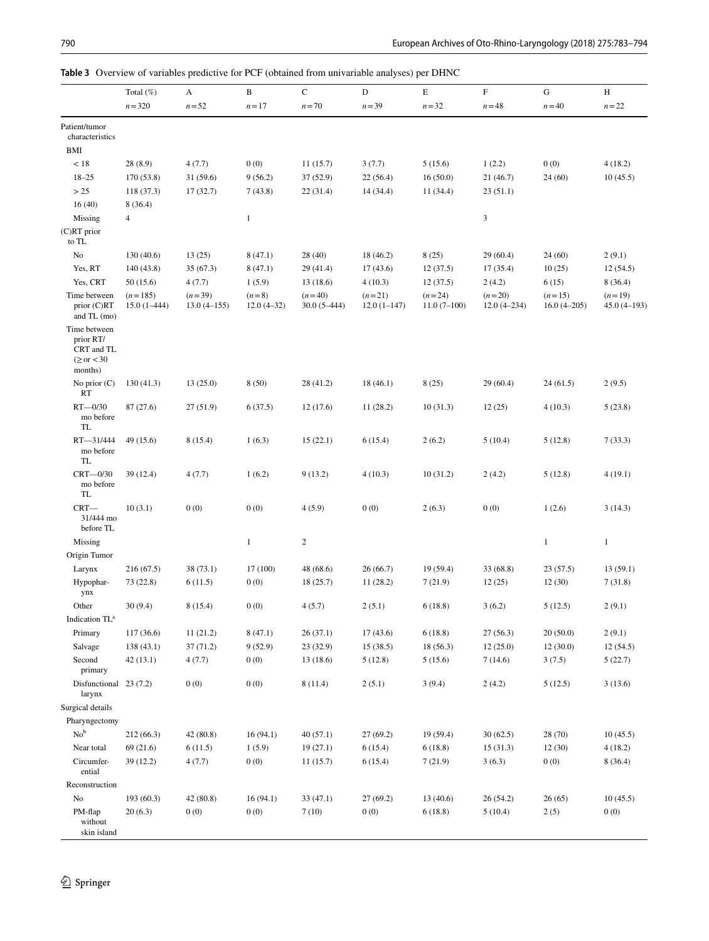<span id="page-8-0"></span>**Table 3** Overview of variables predictive for PCF (obtained from univariable analyses) per DHNC

|                                                                            | Total $(\%)$               | A                         | $\, {\bf B}$            | $\mathbf C$                 | $\mathbf D$               | $\mathbf E$               | $\boldsymbol{\mathrm{F}}$   | G                         | H                           |
|----------------------------------------------------------------------------|----------------------------|---------------------------|-------------------------|-----------------------------|---------------------------|---------------------------|-----------------------------|---------------------------|-----------------------------|
|                                                                            | $n = 320$                  | $n = 52$                  | $n = 17$                | $n = 70$                    | $n = 39$                  | $n = 32$                  | $n = 48$                    | $n = 40$                  | $n = 22$                    |
| Patient/tumor<br>characteristics                                           |                            |                           |                         |                             |                           |                           |                             |                           |                             |
| <b>BMI</b>                                                                 |                            |                           |                         |                             |                           |                           |                             |                           |                             |
| $<18\,$                                                                    | 28 (8.9)                   | 4(7.7)                    | 0(0)                    | 11(15.7)                    | 3(7.7)                    | 5(15.6)                   | 1(2.2)                      | 0(0)                      | 4(18.2)                     |
| $18 - 25$                                                                  | 170 (53.8)                 | 31 (59.6)                 | 9(56.2)                 | 37 (52.9)                   | 22(56.4)                  | 16(50.0)                  | 21(46.7)                    | 24(60)                    | 10(45.5)                    |
| > 25                                                                       | 118 (37.3)                 | 17(32.7)                  | 7(43.8)                 | 22 (31.4)                   | 14 (34.4)                 | 11(34.4)                  | 23(51.1)                    |                           |                             |
| 16(40)                                                                     | 8(36.4)                    |                           |                         |                             |                           |                           |                             |                           |                             |
| Missing                                                                    | 4                          |                           | $\mathbf{1}$            |                             |                           |                           | $\ensuremath{\mathfrak{Z}}$ |                           |                             |
| (C)RT prior<br>to TL                                                       |                            |                           |                         |                             |                           |                           |                             |                           |                             |
| No                                                                         | 130(40.6)                  | 13(25)                    | 8(47.1)                 | 28 (40)                     | 18 (46.2)                 | 8(25)                     | 29(60.4)                    | 24(60)                    | 2(9.1)                      |
| Yes, RT                                                                    | 140 (43.8)                 | 35 (67.3)                 | 8(47.1)                 | 29(41.4)                    | 17(43.6)                  | 12(37.5)                  | 17 (35.4)                   | 10(25)                    | 12(54.5)                    |
| Yes, CRT                                                                   | 50 (15.6)                  | 4(7.7)                    | 1(5.9)                  | 13 (18.6)                   | 4(10.3)                   | 12(37.5)                  | 2(4.2)                      | 6(15)                     | 8(36.4)                     |
| Time between<br>prior (C)RT<br>and $TL$ (mo)                               | $(n=185)$<br>$15.0(1-444)$ | $(n=39)$<br>$13.0(4-155)$ | $(n=8)$<br>$12.0(4-32)$ | $(n=40)$<br>$30.0(5 - 444)$ | $(n=21)$<br>$12.0(1-147)$ | $(n=24)$<br>$11.0(7-100)$ | $(n=20)$<br>$12.0(4-234)$   | $(n=15)$<br>$16.0(4-205)$ | $(n=19)$<br>$45.0(4 - 193)$ |
| Time between<br>prior RT/<br>CRT and TL<br>$(2 \text{ or } 30)$<br>months) |                            |                           |                         |                             |                           |                           |                             |                           |                             |
| No prior $(C)$<br><b>RT</b>                                                | 130(41.3)                  | 13(25.0)                  | 8(50)                   | 28 (41.2)                   | 18 (46.1)                 | 8(25)                     | 29(60.4)                    | 24(61.5)                  | 2(9.5)                      |
| $RT - 0/30$<br>mo before<br><b>TL</b>                                      | 87 (27.6)                  | 27 (51.9)                 | 6(37.5)                 | 12(17.6)                    | 11(28.2)                  | 10(31.3)                  | 12(25)                      | 4(10.3)                   | 5(23.8)                     |
| RT-31/444<br>mo before<br>TL                                               | 49 (15.6)                  | 8(15.4)                   | 1(6.3)                  | 15(22.1)                    | 6(15.4)                   | 2(6.2)                    | 5(10.4)                     | 5(12.8)                   | 7(33.3)                     |
| CRT-0/30<br>mo before<br>TL                                                | 39 (12.4)                  | 4(7.7)                    | 1(6.2)                  | 9(13.2)                     | 4(10.3)                   | 10(31.2)                  | 2(4.2)                      | 5(12.8)                   | 4(19.1)                     |
| $CRT -$<br>31/444 mo<br>before TL                                          | 10(3.1)                    | 0(0)                      | 0(0)                    | 4(5.9)                      | 0(0)                      | 2(6.3)                    | 0(0)                        | 1(2.6)                    | 3(14.3)                     |
| Missing                                                                    |                            |                           | $\mathbf{1}$            | $\overline{c}$              |                           |                           |                             | 1                         | $\mathbf{1}$                |
| Origin Tumor                                                               |                            |                           |                         |                             |                           |                           |                             |                           |                             |
| Larynx                                                                     | 216 (67.5)                 | 38 (73.1)                 | 17 (100)                | 48 (68.6)                   | 26 (66.7)                 | 19 (59.4)                 | 33 (68.8)                   | 23(57.5)                  | 13(59.1)                    |
| Hypophar-<br>ynx                                                           | 73 (22.8)                  | 6(11.5)                   | 0(0)                    | 18(25.7)                    | 11(28.2)                  | 7(21.9)                   | 12(25)                      | 12(30)                    | 7(31.8)                     |
| Other                                                                      | 30(9.4)                    | 8(15.4)                   | 0(0)                    | 4(5.7)                      | 2(5.1)                    | 6(18.8)                   | 3(6.2)                      | 5(12.5)                   | 2(9.1)                      |
| Indication TL <sup>a</sup>                                                 |                            |                           |                         |                             |                           |                           |                             |                           |                             |
| Primary                                                                    | 117 (36.6)                 | 11(21.2)                  | 8(47.1)                 | 26(37.1)                    | 17(43.6)                  | 6(18.8)                   | 27(56.3)                    | 20(50.0)                  | 2(9.1)                      |
| Salvage                                                                    | 138(43.1)                  | 37(71.2)                  | 9(52.9)                 | 23 (32.9)                   | 15(38.5)                  | 18(56.3)                  | 12(25.0)                    | 12(30.0)                  | 12(54.5)                    |
| Second<br>primary                                                          | 42 (13.1)                  | 4(7.7)                    | 0(0)                    | 13(18.6)                    | 5(12.8)                   | 5(15.6)                   | 7(14.6)                     | 3(7.5)                    | 5(22.7)                     |
| Disfunctional $23(7.2)$<br>larynx                                          |                            | 0(0)                      | 0(0)                    | 8(11.4)                     | 2(5.1)                    | 3(9.4)                    | 2(4.2)                      | 5(12.5)                   | 3(13.6)                     |
| Surgical details                                                           |                            |                           |                         |                             |                           |                           |                             |                           |                             |
| Pharyngectomy                                                              |                            |                           |                         |                             |                           |                           |                             |                           |                             |
| No <sup>b</sup>                                                            | 212 (66.3)                 | 42 (80.8)                 | 16(94.1)                | 40(57.1)                    | 27(69.2)                  | 19 (59.4)                 | 30(62.5)                    | 28 (70)                   | 10(45.5)                    |
| Near total                                                                 | 69 (21.6)                  | 6(11.5)                   | 1(5.9)                  | 19(27.1)                    | 6(15.4)                   | 6(18.8)                   | 15(31.3)                    | 12(30)                    | 4(18.2)                     |
| Circumfer-<br>ential                                                       | 39 (12.2)                  | 4(7.7)                    | 0(0)                    | 11(15.7)                    | 6(15.4)                   | 7(21.9)                   | 3(6.3)                      | 0(0)                      | 8(36.4)                     |
| Reconstruction                                                             |                            |                           |                         |                             |                           |                           |                             |                           |                             |
| No<br>PM-flap<br>without<br>skin island                                    | 193 (60.3)<br>20(6.3)      | 42 (80.8)<br>0(0)         | 16(94.1)<br>0(0)        | 33(47.1)<br>7(10)           | 27(69.2)<br>0(0)          | 13 (40.6)<br>6(18.8)      | 26(54.2)<br>5(10.4)         | 26(65)<br>2(5)            | 10(45.5)<br>0(0)            |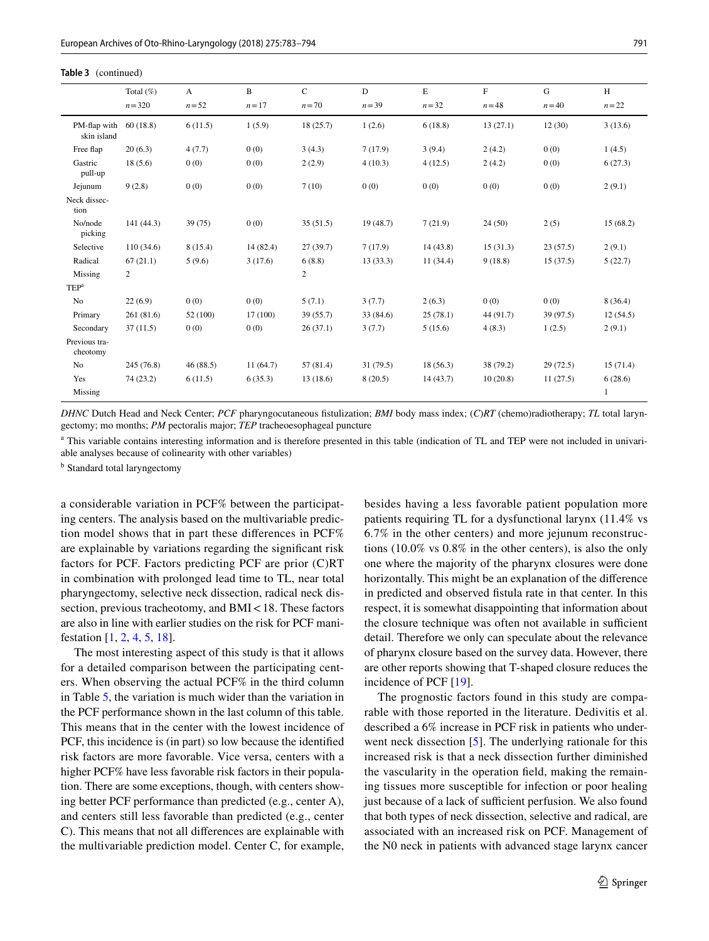|  | Table 3 (continued) |
|--|---------------------|
|--|---------------------|

|                             | Total $(\%)$   | A        | B        | $\mathcal{C}$  | D         | E        | $\boldsymbol{\mathrm{F}}$ | $\mathbf G$ | H        |
|-----------------------------|----------------|----------|----------|----------------|-----------|----------|---------------------------|-------------|----------|
|                             | $n = 320$      | $n = 52$ | $n=17$   | $n = 70$       | $n = 39$  | $n = 32$ | $n = 48$                  | $n = 40$    | $n=22$   |
| PM-flap with<br>skin island | 60(18.8)       | 6(11.5)  | 1(5.9)   | 18(25.7)       | 1(2.6)    | 6(18.8)  | 13(27.1)                  | 12(30)      | 3(13.6)  |
| Free flap                   | 20(6.3)        | 4(7.7)   | 0(0)     | 3(4.3)         | 7(17.9)   | 3(9.4)   | 2(4.2)                    | 0(0)        | 1(4.5)   |
| Gastric<br>pull-up          | 18(5.6)        | 0(0)     | 0(0)     | 2(2.9)         | 4(10.3)   | 4(12.5)  | 2(4.2)                    | 0(0)        | 6(27.3)  |
| Jejunum                     | 9(2.8)         | 0(0)     | 0(0)     | 7(10)          | 0(0)      | 0(0)     | 0(0)                      | 0(0)        | 2(9.1)   |
| Neck dissec-<br>tion        |                |          |          |                |           |          |                           |             |          |
| No/node<br>picking          | 141 (44.3)     | 39(75)   | 0(0)     | 35(51.5)       | 19(48.7)  | 7(21.9)  | 24(50)                    | 2(5)        | 15(68.2) |
| Selective                   | 110(34.6)      | 8(15.4)  | 14(82.4) | 27(39.7)       | 7(17.9)   | 14(43.8) | 15(31.3)                  | 23(57.5)    | 2(9.1)   |
| Radical                     | 67(21.1)       | 5(9.6)   | 3(17.6)  | 6(8.8)         | 13(33.3)  | 11(34.4) | 9(18.8)                   | 15(37.5)    | 5(22.7)  |
| Missing                     | $\overline{c}$ |          |          | $\overline{c}$ |           |          |                           |             |          |
| <b>TEP</b> <sup>a</sup>     |                |          |          |                |           |          |                           |             |          |
| No                          | 22(6.9)        | 0(0)     | 0(0)     | 5(7.1)         | 3(7.7)    | 2(6.3)   | 0(0)                      | 0(0)        | 8(36.4)  |
| Primary                     | 261(81.6)      | 52 (100) | 17 (100) | 39(55.7)       | 33 (84.6) | 25(78.1) | 44 (91.7)                 | 39 (97.5)   | 12(54.5) |
| Secondary                   | 37(11.5)       | 0(0)     | 0(0)     | 26(37.1)       | 3(7.7)    | 5(15.6)  | 4(8.3)                    | 1(2.5)      | 2(9.1)   |
| Previous tra-<br>cheotomy   |                |          |          |                |           |          |                           |             |          |
| No                          | 245 (76.8)     | 46(88.5) | 11(64.7) | 57(81.4)       | 31 (79.5) | 18(56.3) | 38 (79.2)                 | 29(72.5)    | 15(71.4) |
| Yes                         | 74 (23.2)      | 6(11.5)  | 6(35.3)  | 13(18.6)       | 8(20.5)   | 14(43.7) | 10(20.8)                  | 11(27.5)    | 6(28.6)  |
| Missing                     |                |          |          |                |           |          |                           |             | 1        |

*DHNC* Dutch Head and Neck Center; *PCF* pharyngocutaneous fistulization; *BMI* body mass index; (*C*)*RT* (chemo)radiotherapy; *TL* total laryngectomy; mo months; *PM* pectoralis major; *TEP* tracheoesophageal puncture

<sup>a</sup> This variable contains interesting information and is therefore presented in this table (indication of TL and TEP were not included in univariable analyses because of colinearity with other variables)

<sup>b</sup> Standard total laryngectomy

a considerable variation in PCF% between the participating centers. The analysis based on the multivariable prediction model shows that in part these differences in PCF% are explainable by variations regarding the significant risk factors for PCF. Factors predicting PCF are prior (C)RT in combination with prolonged lead time to TL, near total pharyngectomy, selective neck dissection, radical neck dissection, previous tracheotomy, and  $BMI < 18$ . These factors are also in line with earlier studies on the risk for PCF manifestation [\[1](#page-11-0), [2](#page-11-3), [4](#page-11-2), [5,](#page-11-7) [18\]](#page-12-8).

The most interesting aspect of this study is that it allows for a detailed comparison between the participating centers. When observing the actual PCF% in the third column in Table [5](#page-10-1), the variation is much wider than the variation in the PCF performance shown in the last column of this table. This means that in the center with the lowest incidence of PCF, this incidence is (in part) so low because the identified risk factors are more favorable. Vice versa, centers with a higher PCF% have less favorable risk factors in their population. There are some exceptions, though, with centers showing better PCF performance than predicted (e.g., center A), and centers still less favorable than predicted (e.g., center C). This means that not all differences are explainable with the multivariable prediction model. Center C, for example,

besides having a less favorable patient population more patients requiring TL for a dysfunctional larynx (11.4% vs 6.7% in the other centers) and more jejunum reconstructions (10.0% vs 0.8% in the other centers), is also the only one where the majority of the pharynx closures were done horizontally. This might be an explanation of the difference in predicted and observed fistula rate in that center. In this respect, it is somewhat disappointing that information about the closure technique was often not available in sufficient detail. Therefore we only can speculate about the relevance of pharynx closure based on the survey data. However, there are other reports showing that T-shaped closure reduces the incidence of PCF [[19](#page-12-9)].

The prognostic factors found in this study are comparable with those reported in the literature. Dedivitis et al. described a 6% increase in PCF risk in patients who underwent neck dissection [\[5](#page-11-7)]. The underlying rationale for this increased risk is that a neck dissection further diminished the vascularity in the operation field, making the remaining tissues more susceptible for infection or poor healing just because of a lack of sufficient perfusion. We also found that both types of neck dissection, selective and radical, are associated with an increased risk on PCF. Management of the N0 neck in patients with advanced stage larynx cancer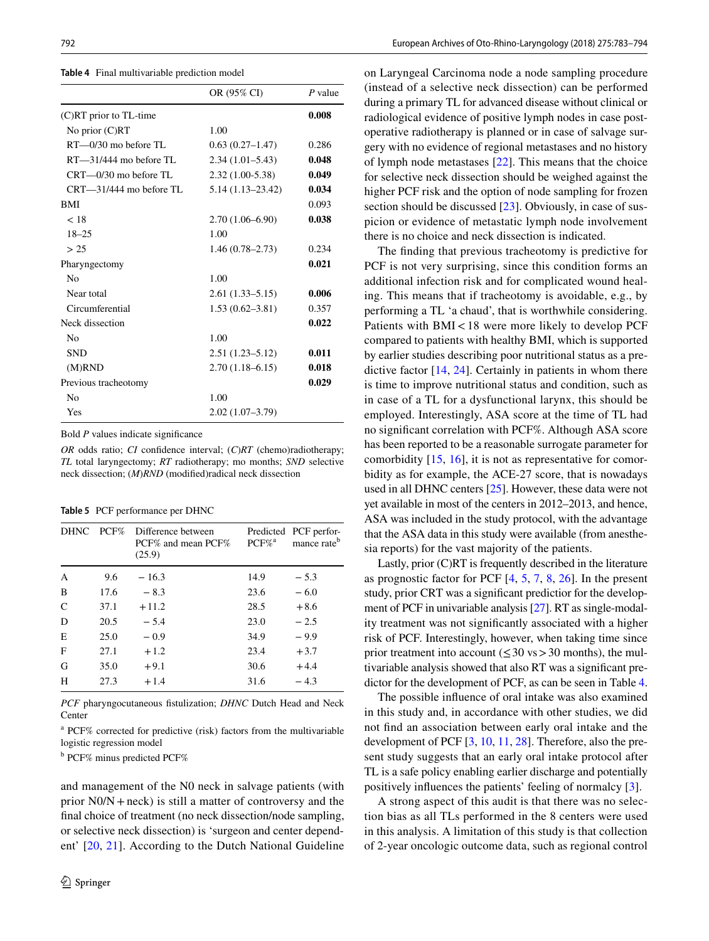<span id="page-10-0"></span>**Table 4** Final multivariable prediction model

|                            | OR (95% CI)         | $P$ value |
|----------------------------|---------------------|-----------|
| (C)RT prior to TL-time     |                     | 0.008     |
| No prior $(C)RT$           | 1.00                |           |
| $RT$ —0/30 mo before TL    | $0.63(0.27-1.47)$   | 0.286     |
| $RT = 31/444$ mo before TL | $2.34(1.01-5.43)$   | 0.048     |
| $CRT$ —0/30 mo before TL   | $2.32(1.00-5.38)$   | 0.049     |
| $CRT-31/444$ mo before TL  | $5.14(1.13-23.42)$  | 0.034     |
| <b>BMI</b>                 |                     | 0.093     |
| < 18                       | $2.70(1.06 - 6.90)$ | 0.038     |
| $18 - 25$                  | 1.00                |           |
| > 25                       | $1.46(0.78 - 2.73)$ | 0.234     |
| Pharyngectomy              |                     | 0.021     |
| Nο                         | 1.00                |           |
| Near total                 | $2.61(1.33 - 5.15)$ | 0.006     |
| Circumferential            | $1.53(0.62 - 3.81)$ | 0.357     |
| Neck dissection            |                     | 0.022     |
| N <sub>0</sub>             | 1.00                |           |
| <b>SND</b>                 | $2.51(1.23 - 5.12)$ | 0.011     |
| $(M)$ RND                  | $2.70(1.18-6.15)$   | 0.018     |
| Previous tracheotomy       |                     | 0.029     |
| No                         | 1.00                |           |
| Yes                        | $2.02(1.07-3.79)$   |           |

Bold *P* values indicate significance

*OR* odds ratio; *CI* confidence interval; (*C*)*RT* (chemo)radiotherapy; *TL* total laryngectomy; *RT* radiotherapy; mo months; *SND* selective neck dissection; (*M*)*RND* (modified)radical neck dissection

<span id="page-10-1"></span>

|  |  | Table 5 PCF performance per DHNC |  |  |
|--|--|----------------------------------|--|--|
|--|--|----------------------------------|--|--|

| <b>DHNC</b>   | $PCF\%$ | Difference between<br>PCF% and mean PCF%<br>(25.9) | $PCF\%^a$ | Predicted PCF perfor-<br>mance rate <sup>b</sup> |
|---------------|---------|----------------------------------------------------|-----------|--------------------------------------------------|
| A             | 9.6     | $-16.3$                                            | 14.9      | $-5.3$                                           |
| B             | 17.6    | $-8.3$                                             | 23.6      | $-6.0$                                           |
| $\mathcal{C}$ | 37.1    | $+11.2$                                            | 28.5      | $+8.6$                                           |
| D             | 20.5    | $-5.4$                                             | 23.0      | $-2.5$                                           |
| E             | 25.0    | $-0.9$                                             | 34.9      | $-9.9$                                           |
| F             | 27.1    | $+1.2$                                             | 23.4      | $+3.7$                                           |
| G             | 35.0    | $+9.1$                                             | 30.6      | $+4.4$                                           |
| H             | 27.3    | $+1.4$                                             | 31.6      | $-4.3$                                           |

*PCF* pharyngocutaneous fistulization; *DHNC* Dutch Head and Neck Center

a PCF% corrected for predictive (risk) factors from the multivariable logistic regression model

b PCF% minus predicted PCF%

and management of the N0 neck in salvage patients (with prior  $N0/N$  + neck) is still a matter of controversy and the final choice of treatment (no neck dissection/node sampling, or selective neck dissection) is 'surgeon and center dependent' [\[20,](#page-12-10) [21\]](#page-12-11). According to the Dutch National Guideline on Laryngeal Carcinoma node a node sampling procedure (instead of a selective neck dissection) can be performed during a primary TL for advanced disease without clinical or radiological evidence of positive lymph nodes in case postoperative radiotherapy is planned or in case of salvage surgery with no evidence of regional metastases and no history of lymph node metastases [\[22](#page-12-12)]. This means that the choice for selective neck dissection should be weighed against the higher PCF risk and the option of node sampling for frozen section should be discussed [[23\]](#page-12-13). Obviously, in case of suspicion or evidence of metastatic lymph node involvement there is no choice and neck dissection is indicated.

The finding that previous tracheotomy is predictive for PCF is not very surprising, since this condition forms an additional infection risk and for complicated wound healing. This means that if tracheotomy is avoidable, e.g., by performing a TL 'a chaud', that is worthwhile considering. Patients with BMI < 18 were more likely to develop PCF compared to patients with healthy BMI, which is supported by earlier studies describing poor nutritional status as a predictive factor [[14,](#page-12-4) [24](#page-12-14)]. Certainly in patients in whom there is time to improve nutritional status and condition, such as in case of a TL for a dysfunctional larynx, this should be employed. Interestingly, ASA score at the time of TL had no significant correlation with PCF%. Although ASA score has been reported to be a reasonable surrogate parameter for comorbidity [[15](#page-12-5), [16\]](#page-12-6), it is not as representative for comorbidity as for example, the ACE-27 score, that is nowadays used in all DHNC centers [[25\]](#page-12-15). However, these data were not yet available in most of the centers in 2012–2013, and hence, ASA was included in the study protocol, with the advantage that the ASA data in this study were available (from anesthesia reports) for the vast majority of the patients.

Lastly, prior (C)RT is frequently described in the literature as prognostic factor for PCF [[4,](#page-11-2) [5](#page-11-7), [7,](#page-11-4) [8](#page-11-5), [26\]](#page-12-16). In the present study, prior CRT was a significant predictior for the development of PCF in univariable analysis [[27](#page-12-17)]. RT as single-modality treatment was not significantly associated with a higher risk of PCF. Interestingly, however, when taking time since prior treatment into account ( $\leq 30$  vs > 30 months), the multivariable analysis showed that also RT was a significant predictor for the development of PCF, as can be seen in Table [4.](#page-10-0)

The possible influence of oral intake was also examined in this study and, in accordance with other studies, we did not find an association between early oral intake and the development of PCF [[3,](#page-11-1) [10,](#page-12-1) [11](#page-12-18), [28](#page-12-19)]. Therefore, also the present study suggests that an early oral intake protocol after TL is a safe policy enabling earlier discharge and potentially positively influences the patients' feeling of normalcy [[3\]](#page-11-1).

A strong aspect of this audit is that there was no selection bias as all TLs performed in the 8 centers were used in this analysis. A limitation of this study is that collection of 2-year oncologic outcome data, such as regional control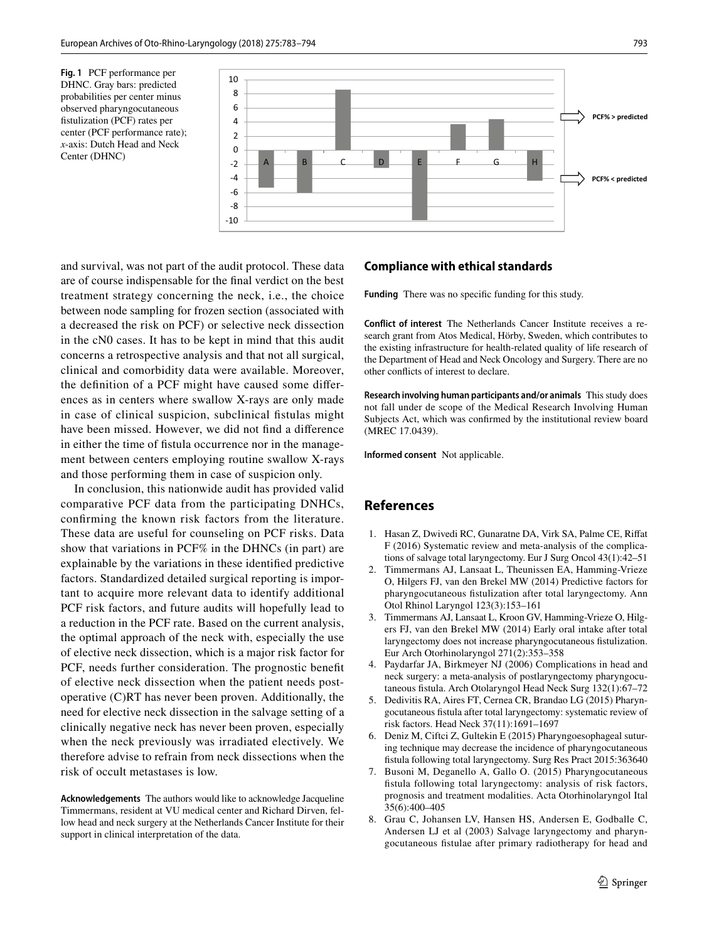<span id="page-11-6"></span>**Fig. 1** PCF performance per DHNC. Gray bars: predicted probabilities per center minus observed pharyngocutaneous fistulization (PCF) rates per center (PCF performance rate); *x*-axis: Dutch Head and Neck Center (DHNC)



and survival, was not part of the audit protocol. These data are of course indispensable for the final verdict on the best treatment strategy concerning the neck, i.e., the choice between node sampling for frozen section (associated with a decreased the risk on PCF) or selective neck dissection in the cN0 cases. It has to be kept in mind that this audit concerns a retrospective analysis and that not all surgical, clinical and comorbidity data were available. Moreover, the definition of a PCF might have caused some differences as in centers where swallow X-rays are only made in case of clinical suspicion, subclinical fistulas might have been missed. However, we did not find a difference in either the time of fistula occurrence nor in the management between centers employing routine swallow X-rays and those performing them in case of suspicion only.

In conclusion, this nationwide audit has provided valid comparative PCF data from the participating DNHCs, confirming the known risk factors from the literature. These data are useful for counseling on PCF risks. Data show that variations in PCF% in the DHNCs (in part) are explainable by the variations in these identified predictive factors. Standardized detailed surgical reporting is important to acquire more relevant data to identify additional PCF risk factors, and future audits will hopefully lead to a reduction in the PCF rate. Based on the current analysis, the optimal approach of the neck with, especially the use of elective neck dissection, which is a major risk factor for PCF, needs further consideration. The prognostic benefit of elective neck dissection when the patient needs postoperative (C)RT has never been proven. Additionally, the need for elective neck dissection in the salvage setting of a clinically negative neck has never been proven, especially when the neck previously was irradiated electively. We therefore advise to refrain from neck dissections when the risk of occult metastases is low.

**Acknowledgements** The authors would like to acknowledge Jacqueline Timmermans, resident at VU medical center and Richard Dirven, fellow head and neck surgery at the Netherlands Cancer Institute for their support in clinical interpretation of the data.

#### **Compliance with ethical standards**

**Funding** There was no specific funding for this study.

**Conflict of interest** The Netherlands Cancer Institute receives a research grant from Atos Medical, Hörby, Sweden, which contributes to the existing infrastructure for health-related quality of life research of the Department of Head and Neck Oncology and Surgery. There are no other conflicts of interest to declare.

**Research involving human participants and/or animals** This study does not fall under de scope of the Medical Research Involving Human Subjects Act, which was confirmed by the institutional review board (MREC 17.0439).

**Informed consent** Not applicable.

## **References**

- <span id="page-11-0"></span>1. Hasan Z, Dwivedi RC, Gunaratne DA, Virk SA, Palme CE, Riffat F (2016) Systematic review and meta-analysis of the complications of salvage total laryngectomy. Eur J Surg Oncol 43(1):42–51
- <span id="page-11-3"></span>2. Timmermans AJ, Lansaat L, Theunissen EA, Hamming-Vrieze O, Hilgers FJ, van den Brekel MW (2014) Predictive factors for pharyngocutaneous fistulization after total laryngectomy. Ann Otol Rhinol Laryngol 123(3):153–161
- <span id="page-11-1"></span>3. Timmermans AJ, Lansaat L, Kroon GV, Hamming-Vrieze O, Hilgers FJ, van den Brekel MW (2014) Early oral intake after total laryngectomy does not increase pharyngocutaneous fistulization. Eur Arch Otorhinolaryngol 271(2):353–358
- <span id="page-11-2"></span>4. Paydarfar JA, Birkmeyer NJ (2006) Complications in head and neck surgery: a meta-analysis of postlaryngectomy pharyngocutaneous fistula. Arch Otolaryngol Head Neck Surg 132(1):67–72
- <span id="page-11-7"></span>5. Dedivitis RA, Aires FT, Cernea CR, Brandao LG (2015) Pharyngocutaneous fistula after total laryngectomy: systematic review of risk factors. Head Neck 37(11):1691–1697
- 6. Deniz M, Ciftci Z, Gultekin E (2015) Pharyngoesophageal suturing technique may decrease the incidence of pharyngocutaneous fistula following total laryngectomy. Surg Res Pract 2015:363640
- <span id="page-11-4"></span>7. Busoni M, Deganello A, Gallo O. (2015) Pharyngocutaneous fistula following total laryngectomy: analysis of risk factors, prognosis and treatment modalities. Acta Otorhinolaryngol Ital 35(6):400–405
- <span id="page-11-5"></span>8. Grau C, Johansen LV, Hansen HS, Andersen E, Godballe C, Andersen LJ et al (2003) Salvage laryngectomy and pharyngocutaneous fistulae after primary radiotherapy for head and